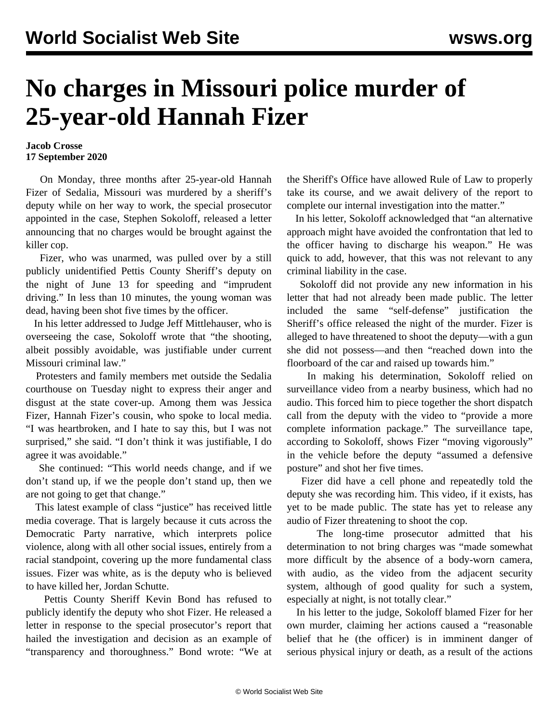## **No charges in Missouri police murder of 25-year-old Hannah Fizer**

## **Jacob Crosse 17 September 2020**

 On Monday, three months after 25-year-old Hannah Fizer of Sedalia, Missouri was murdered by a sheriff's deputy while on her way to work, the special prosecutor appointed in the case, Stephen Sokoloff, released a letter announcing that no charges would be brought against the killer cop.

 Fizer, who was unarmed, was pulled over by a still publicly unidentified Pettis County Sheriff's deputy on the night of June 13 for speeding and "imprudent driving." In less than 10 minutes, the young woman was dead, having been shot five times by the officer.

 In his letter addressed to Judge Jeff Mittlehauser, who is overseeing the case, Sokoloff wrote that "the shooting, albeit possibly avoidable, was justifiable under current Missouri criminal law."

 Protesters and family members met outside the Sedalia courthouse on Tuesday night to express their anger and disgust at the state cover-up. Among them was Jessica Fizer, Hannah Fizer's cousin, who spoke to local media. "I was heartbroken, and I hate to say this, but I was not surprised," she said. "I don't think it was justifiable, I do agree it was avoidable."

 She continued: "This world needs change, and if we don't stand up, if we the people don't stand up, then we are not going to get that change."

 This latest example of class "justice" has received little media coverage. That is largely because it cuts across the Democratic Party narrative, which interprets police violence, along with all other social issues, entirely from a racial standpoint, covering up the more fundamental class issues. Fizer was white, as is the deputy who is believed to have killed her, Jordan Schutte.

 Pettis County Sheriff Kevin Bond has refused to publicly identify the deputy who shot Fizer. He released a letter in response to the special prosecutor's report that hailed the investigation and decision as an example of "transparency and thoroughness." Bond wrote: "We at the Sheriff's Office have allowed Rule of Law to properly take its course, and we await delivery of the report to complete our internal investigation into the matter."

 In his letter, Sokoloff acknowledged that "an alternative approach might have avoided the confrontation that led to the officer having to discharge his weapon." He was quick to add, however, that this was not relevant to any criminal liability in the case.

 Sokoloff did not provide any new information in his letter that had not already been made public. The letter included the same "self-defense" justification the Sheriff's office released the night of the murder. Fizer is alleged to have threatened to shoot the deputy—with a gun she did not possess—and then "reached down into the floorboard of the car and raised up towards him."

 In making his determination, Sokoloff relied on surveillance video from a nearby business, which had no audio. This forced him to piece together the short dispatch call from the deputy with the video to "provide a more complete information package." The surveillance tape, according to Sokoloff, shows Fizer "moving vigorously" in the vehicle before the deputy "assumed a defensive posture" and shot her five times.

 Fizer did have a cell phone and repeatedly told the deputy she was recording him. This video, if it exists, has yet to be made public. The state has yet to release any audio of Fizer threatening to shoot the cop.

 The long-time prosecutor admitted that his determination to not bring charges was "made somewhat more difficult by the absence of a body-worn camera, with audio, as the video from the adjacent security system, although of good quality for such a system, especially at night, is not totally clear."

 In his letter to the judge, Sokoloff blamed Fizer for her own murder, claiming her actions caused a "reasonable belief that he (the officer) is in imminent danger of serious physical injury or death, as a result of the actions